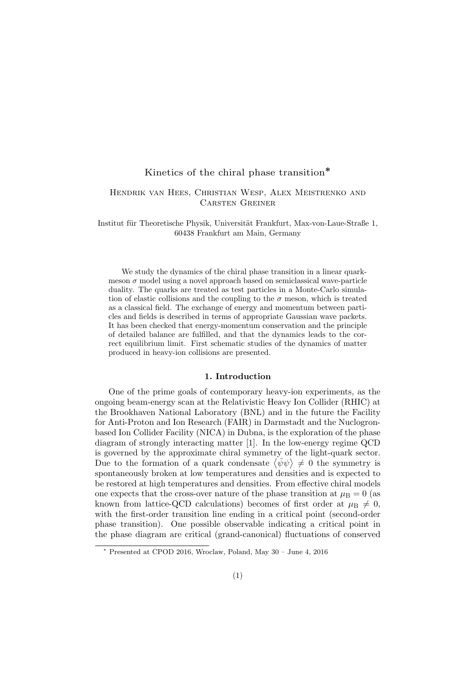# Kinetics of the chiral phase transition∗

## Hendrik van Hees, Christian Wesp, Alex Meistrenko and Carsten Greiner

Institut für Theoretische Physik, Universität Frankfurt, Max-von-Laue-Straße 1, 60438 Frankfurt am Main, Germany

We study the dynamics of the chiral phase transition in a linear quarkmeson  $\sigma$  model using a novel approach based on semiclassical wave-particle duality. The quarks are treated as test particles in a Monte-Carlo simulation of elastic collisions and the coupling to the  $\sigma$  meson, which is treated as a classical field. The exchange of energy and momentum between particles and fields is described in terms of appropriate Gaussian wave packets. It has been checked that energy-momentum conservation and the principle of detailed balance are fulfilled, and that the dynamics leads to the correct equilibrium limit. First schematic studies of the dynamics of matter produced in heavy-ion collisions are presented.

### 1. Introduction

One of the prime goals of contemporary heavy-ion experiments, as the ongoing beam-energy scan at the Relativistic Heavy Ion Collider (RHIC) at the Brookhaven National Laboratory (BNL) and in the future the Facility for Anti-Proton and Ion Research (FAIR) in Darmstadt and the Nuclogronbased Ion Collider Facility (NICA) in Dubna, is the exploration of the phase diagram of strongly interacting matter [1]. In the low-energy regime QCD is governed by the approximate chiral symmetry of the light-quark sector. Due to the formation of a quark condensate  $\langle \bar{\psi}\psi \rangle \neq 0$  the symmetry is spontaneously broken at low temperatures and densities and is expected to be restored at high temperatures and densities. From effective chiral models one expects that the cross-over nature of the phase transition at  $\mu_B = 0$  (as known from lattice-QCD calculations) becomes of first order at  $\mu_B \neq 0$ , with the first-order transition line ending in a critical point (second-order phase transition). One possible observable indicating a critical point in the phase diagram are critical (grand-canonical) fluctuations of conserved

<sup>∗</sup> Presented at CPOD 2016, Wroclaw, Poland, May 30 – June 4, 2016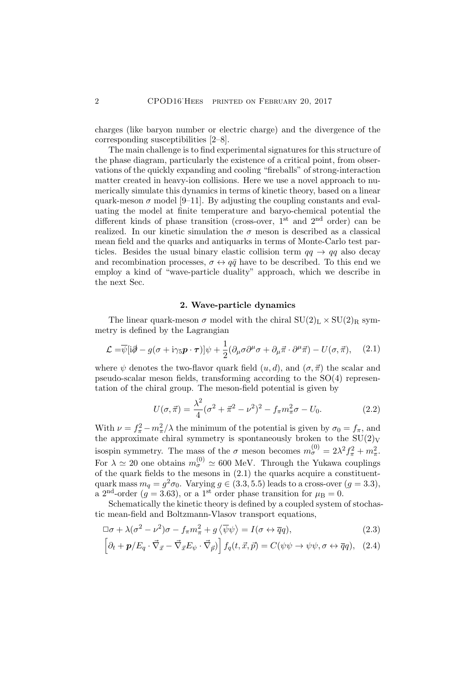charges (like baryon number or electric charge) and the divergence of the corresponding susceptibilities [2–8].

The main challenge is to find experimental signatures for this structure of the phase diagram, particularly the existence of a critical point, from observations of the quickly expanding and cooling "fireballs" of strong-interaction matter created in heavy-ion collisions. Here we use a novel approach to numerically simulate this dynamics in terms of kinetic theory, based on a linear quark-meson  $\sigma$  model [9–11]. By adjusting the coupling constants and evaluating the model at finite temperature and baryo-chemical potential the different kinds of phase transition (cross-over,  $1<sup>st</sup>$  and  $2<sup>nd</sup>$  order) can be realized. In our kinetic simulation the  $\sigma$  meson is described as a classical mean field and the quarks and antiquarks in terms of Monte-Carlo test particles. Besides the usual binary elastic collision term  $qq \rightarrow qq$  also decay and recombination processes,  $\sigma \leftrightarrow q\bar{q}$  have to be described. To this end we employ a kind of "wave-particle duality" approach, which we describe in the next Sec.

### 2. Wave-particle dynamics

The linear quark-meson  $\sigma$  model with the chiral  $SU(2)_L \times SU(2)_R$  symmetry is defined by the Lagrangian

$$
\mathcal{L} = \overline{\psi}[i\partial - g(\sigma + i\gamma_5 \mathbf{p} \cdot \boldsymbol{\tau})]\psi + \frac{1}{2}(\partial_{\mu}\sigma \partial^{\mu}\sigma + \partial_{\mu}\vec{\pi} \cdot \partial^{\mu}\vec{\pi}) - U(\sigma, \vec{\pi}), \quad (2.1)
$$

where  $\psi$  denotes the two-flavor quark field  $(u, d)$ , and  $(\sigma, \vec{\pi})$  the scalar and pseudo-scalar meson fields, transforming according to the SO(4) representation of the chiral group. The meson-field potential is given by

$$
U(\sigma, \vec{\pi}) = \frac{\lambda^2}{4} (\sigma^2 + \vec{\pi}^2 - \nu^2)^2 - f_{\pi} m_{\pi}^2 \sigma - U_0.
$$
 (2.2)

With  $\nu = f_{\pi}^2 - m_{\pi}^2/\lambda$  the minimum of the potential is given by  $\sigma_0 = f_{\pi}$ , and the approximate chiral symmetry is spontaneously broken to the  $SU(2)<sub>V</sub>$ isospin symmetry. The mass of the  $\sigma$  meson becomes  $m_{\sigma}^{(0)} = 2\lambda^2 f_{\pi}^2 + m_{\pi}^2$ . For  $\lambda \simeq 20$  one obtains  $m_{\sigma}^{(0)} \simeq 600$  MeV. Through the Yukawa couplings of the quark fields to the mesons in (2.1) the quarks acquire a constituentquark mass  $m_q = g^2 \sigma_0$ . Varying  $g \in (3.3, 5.5)$  leads to a cross-over  $(g = 3.3)$ , a 2<sup>nd</sup>-order ( $g = 3.63$ ), or a 1<sup>st</sup> order phase transition for  $\mu_B = 0$ .

Schematically the kinetic theory is defined by a coupled system of stochastic mean-field and Boltzmann-Vlasov transport equations,

$$
\Box \sigma + \lambda (\sigma^2 - \nu^2) \sigma - f_{\pi} m_{\pi}^2 + g \langle \overline{\psi} \psi \rangle = I(\sigma \leftrightarrow \overline{q}q), \tag{2.3}
$$

$$
\left[\partial_t + \mathbf{p}/E_q \cdot \vec{\nabla}_{\vec{x}} - \vec{\nabla}_{\vec{x}} E_\psi \cdot \vec{\nabla}_{\vec{p}}\right] f_q(t, \vec{x}, \vec{p}) = C(\psi \psi \to \psi \psi, \sigma \leftrightarrow \overline{q}q), \quad (2.4)
$$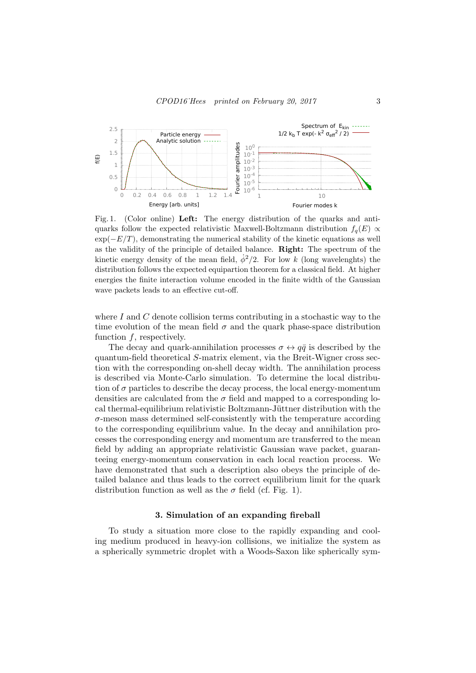

Fig. 1. (Color online) Left: The energy distribution of the quarks and antiquarks follow the expected relativistic Maxwell-Boltzmann distribution  $f<sub>q</sub>(E) \propto$  $\exp(-E/T)$ , demonstrating the numerical stability of the kinetic equations as well as the validity of the principle of detailed balance. Right: The spectrum of the kinetic energy density of the mean field,  $\dot{\phi}^2/2$ . For low k (long wavelenghts) the distribution follows the expected equipartion theorem for a classical field. At higher energies the finite interaction volume encoded in the finite width of the Gaussian wave packets leads to an effective cut-off.

where I and C denote collision terms contributing in a stochastic way to the time evolution of the mean field  $\sigma$  and the quark phase-space distribution function  $f$ , respectively.

The decay and quark-annihilation processes  $\sigma \leftrightarrow q\bar{q}$  is described by the quantum-field theoretical S-matrix element, via the Breit-Wigner cross section with the corresponding on-shell decay width. The annihilation process is described via Monte-Carlo simulation. To determine the local distribution of  $\sigma$  particles to describe the decay process, the local energy-momentum densities are calculated from the  $\sigma$  field and mapped to a corresponding local thermal-equilibrium relativistic Boltzmann-Jüttner distribution with the  $\sigma$ -meson mass determined self-consistently with the temperature according to the corresponding equilibrium value. In the decay and annihilation processes the corresponding energy and momentum are transferred to the mean field by adding an appropriate relativistic Gaussian wave packet, guaranteeing energy-momentum conservation in each local reaction process. We have demonstrated that such a description also obeys the principle of detailed balance and thus leads to the correct equilibrium limit for the quark distribution function as well as the  $\sigma$  field (cf. Fig. 1).

### 3. Simulation of an expanding fireball

To study a situation more close to the rapidly expanding and cooling medium produced in heavy-ion collisions, we initialize the system as a spherically symmetric droplet with a Woods-Saxon like spherically sym-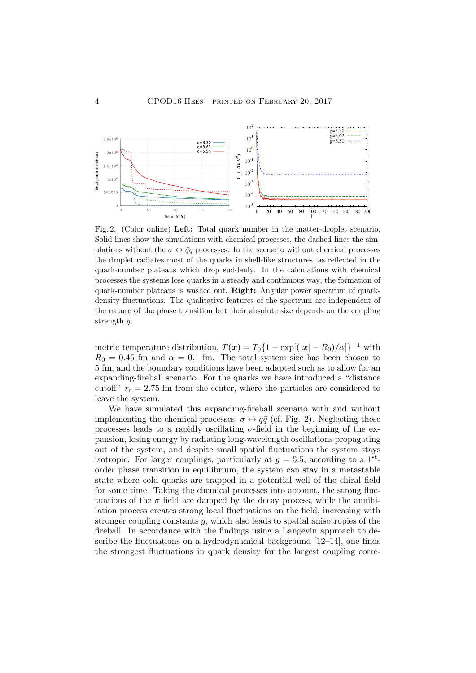

Fig. 2. (Color online) Left: Total quark number in the matter-droplet scenario. Solid lines show the simulations with chemical processes, the dashed lines the simulations without the  $\sigma \leftrightarrow \bar{q}q$  processes. In the scenario without chemical processes the droplet radiates most of the quarks in shell-like structures, as reflected in the quark-number plateaus which drop suddenly. In the calculations with chemical processes the systems lose quarks in a steady and continuous way; the formation of quark-number plateaus is washed out. Right: Angular power spectrum of quarkdensity fluctuations. The qualitative features of the spectrum are independent of the nature of the phase transition but their absolute size depends on the coupling strength q.

metric temperature distribution,  $T(\boldsymbol{x}) = T_0\{1 + \exp[(|\boldsymbol{x}| - R_0)/\alpha]\}^{-1}$  with  $R_0 = 0.45$  fm and  $\alpha = 0.1$  fm. The total system size has been chosen to 5 fm, and the boundary conditions have been adapted such as to allow for an expanding-fireball scenario. For the quarks we have introduced a "distance cutoff"  $r_c = 2.75$  fm from the center, where the particles are considered to leave the system.

We have simulated this expanding-fireball scenario with and without implementing the chemical processes,  $\sigma \leftrightarrow q\bar{q}$  (cf. Fig. 2). Neglecting these processes leads to a rapidly oscillating  $\sigma$ -field in the beginning of the expansion, losing energy by radiating long-wavelength oscillations propagating out of the system, and despite small spatial fluctuations the system stays isotropic. For larger couplings, particularly at  $g = 5.5$ , according to a 1<sup>st</sup>order phase transition in equilibrium, the system can stay in a metastable state where cold quarks are trapped in a potential well of the chiral field for some time. Taking the chemical processes into account, the strong fluctuations of the  $\sigma$  field are damped by the decay process, while the annihilation process creates strong local fluctuations on the field, increasing with stronger coupling constants  $g$ , which also leads to spatial anisotropies of the fireball. In accordance with the findings using a Langevin approach to describe the fluctuations on a hydrodynamical background [12–14], one finds the strongest fluctuations in quark density for the largest coupling corre